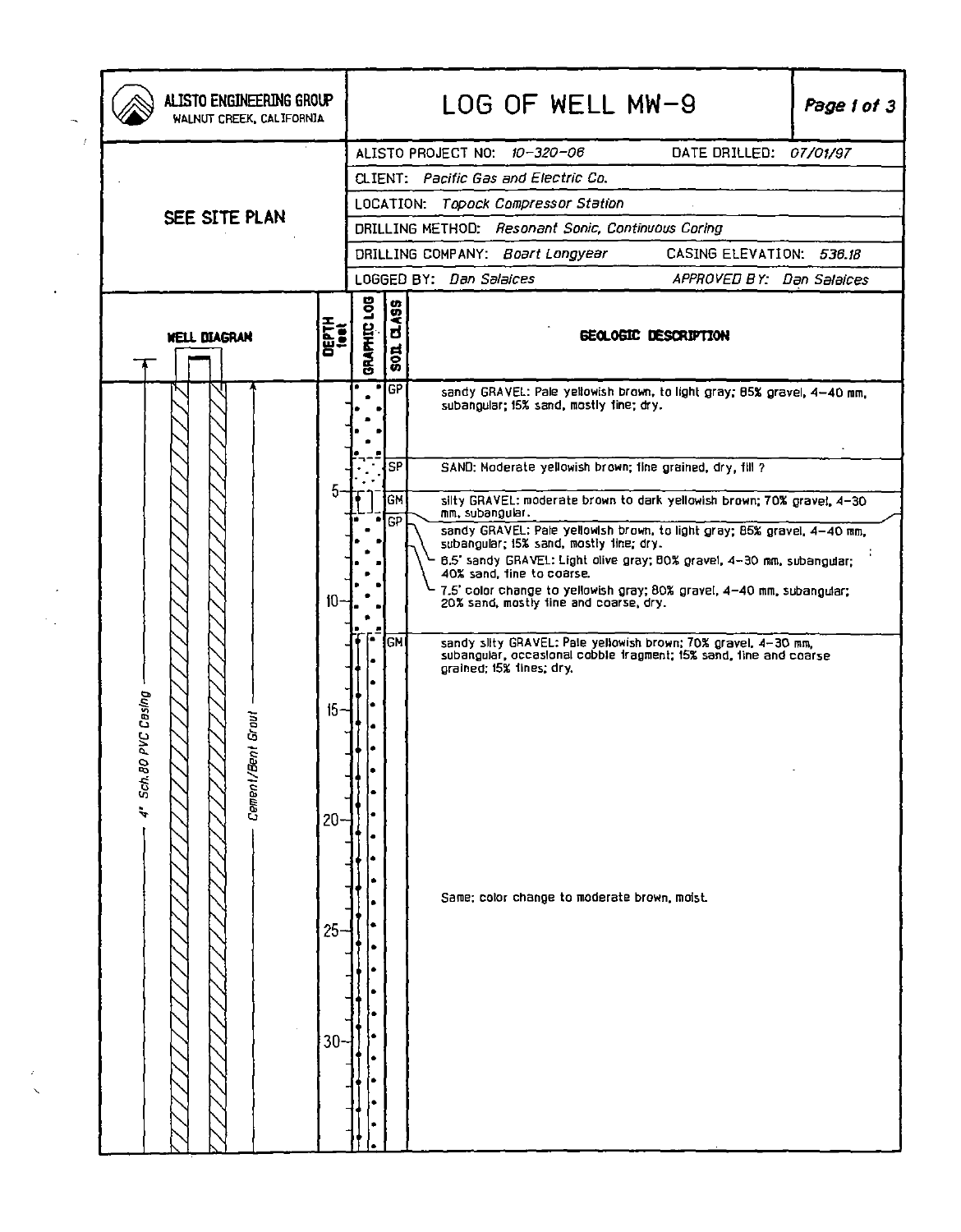|                                              | LLISTO ENGINEERING GROUP<br>WALNUT CREEK, CALIFORNIA |             |                                   | LOG OF WELL MW-9<br>Page 1 of 3                                                                                                                                                                                                                                                                                                                                                                                                                                                                                                                                                                                                                                                                                                                                                                                                                |  |  |  |  |  |  |
|----------------------------------------------|------------------------------------------------------|-------------|-----------------------------------|------------------------------------------------------------------------------------------------------------------------------------------------------------------------------------------------------------------------------------------------------------------------------------------------------------------------------------------------------------------------------------------------------------------------------------------------------------------------------------------------------------------------------------------------------------------------------------------------------------------------------------------------------------------------------------------------------------------------------------------------------------------------------------------------------------------------------------------------|--|--|--|--|--|--|
| SEE SITE PLAN                                |                                                      |             |                                   | ALISTO PROJECT NO: 10-320-06<br>DATE DRILLED: 07/01/97<br>CLIENT: Pacific Gas and Electric Co.<br>LOCATION: Topock Compressor Station<br>DRILLING METHOD: Resonant Sonic, Continuous Coring<br>CASING ELEVATION: 536.18<br>DRILLING COMPANY: Boart Longyear<br>LOGGED BY: Dan Salaices                                                                                                                                                                                                                                                                                                                                                                                                                                                                                                                                                         |  |  |  |  |  |  |
| <b>WELL DIAGRAN</b>                          | DEPTH<br>test                                        | GRAPHIC LOG | 01.499<br>$rac{1}{2}$             | APPROVED BY: Dan Salaices<br><b>GEOLOGIC DESCRIPTION</b>                                                                                                                                                                                                                                                                                                                                                                                                                                                                                                                                                                                                                                                                                                                                                                                       |  |  |  |  |  |  |
| PVC Casing<br>Cement/Bent Grout<br>4" Sch.80 | 10 <sup>1</sup><br>15<br>20<br>25<br>30 <sub>1</sub> |             | <b>GP</b><br>SP<br>GM<br>GP<br>GM | sandy GRAVEL: Pale yellowish brown, to light gray; 85% gravel, 4-40 nm,<br>subangular: 15% sand, mostly tine; dry.<br>SAND: Moderate yellowish brown; fine grained, dry, fill ?<br>silty GRAVEL: moderate brown to dark yellowish brown; 70% gravel, 4-30<br>mm, subangular.<br>sandy GRAVEL: Pale yellowish brown, to light gray; 85% gravel, 4-40 mm,<br>subangular; 15% sand, mostly line; dry.<br>6.5' sandy GRAVEL: Light olive gray; BO% gravel, 4-30 mm, subangular;<br>40% sand, fine to coarse.<br>7.5' color change to yellowish gray; 80% gravel, 4-40 mm, subangular;<br>20% sand, mostly line and coarse, dry.<br>sandy silty GRAVEL: Pale yellowish brown; 70% gravel, 4-30 mm,<br>subangular, occasional cobble tragment; 15% sand, line and coarse<br>grained; 15% lines; dry.<br>Same; color change to moderate brown, moist. |  |  |  |  |  |  |

 $\begin{array}{c} \n\lambda \\
\lambda\n\end{array}$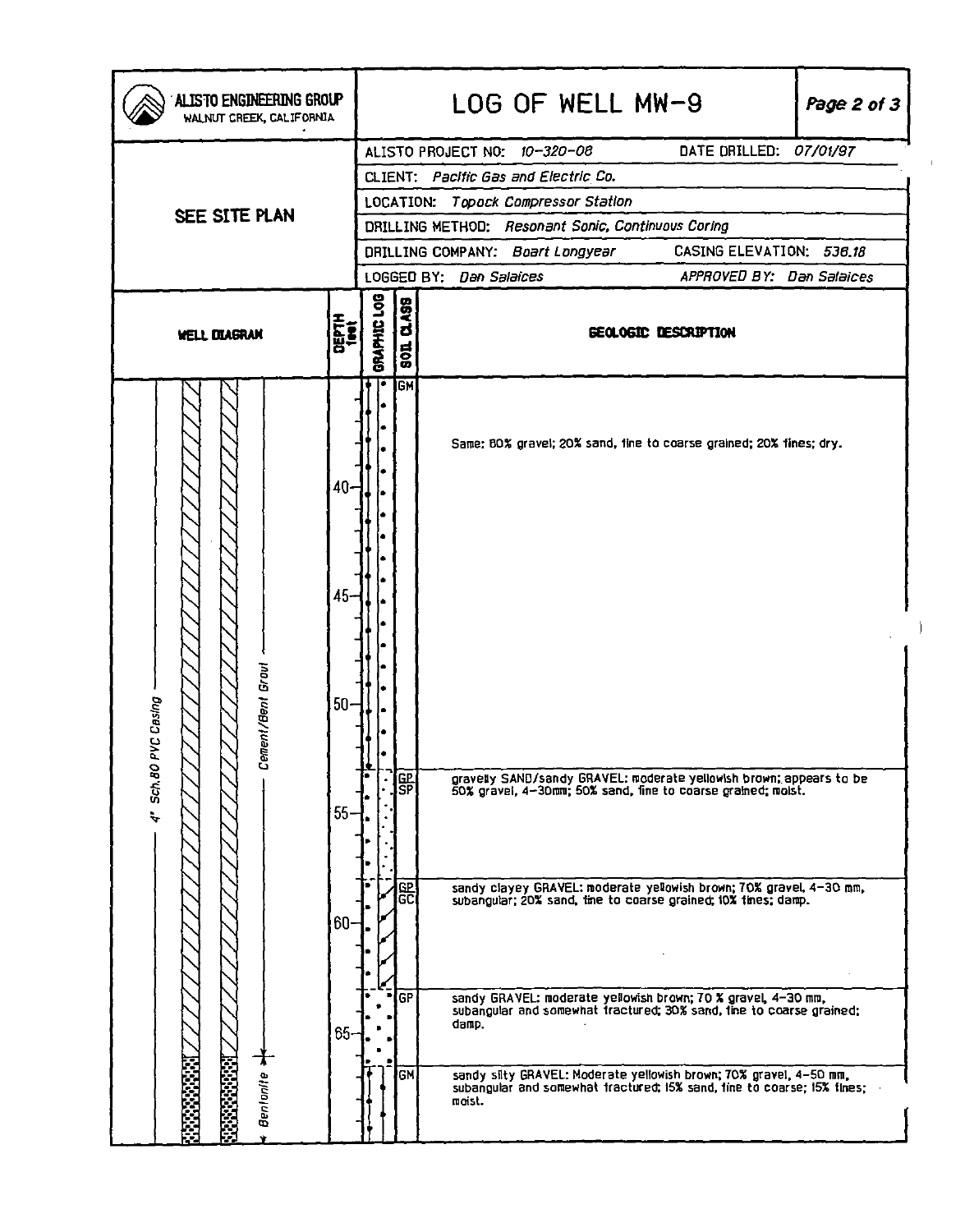| ALISTO ENGINEERING GROUP<br>WALNUT CREEK, CALIFORNIA                                                           |               | LOG OF WELL MW-9<br>Page 2 of 3                      |                                                              |        |                              |                                                                                                                                                                                                                                                                                                                                                                                                                                                                                          |  |  |  |  |  |
|----------------------------------------------------------------------------------------------------------------|---------------|------------------------------------------------------|--------------------------------------------------------------|--------|------------------------------|------------------------------------------------------------------------------------------------------------------------------------------------------------------------------------------------------------------------------------------------------------------------------------------------------------------------------------------------------------------------------------------------------------------------------------------------------------------------------------------|--|--|--|--|--|
|                                                                                                                |               |                                                      |                                                              |        | ALISTO PROJECT NO: 10-320-08 | DATE DRILLED: 07/01/97                                                                                                                                                                                                                                                                                                                                                                                                                                                                   |  |  |  |  |  |
|                                                                                                                |               |                                                      | CLIENT: Pacific Gas and Electric Co.                         |        |                              |                                                                                                                                                                                                                                                                                                                                                                                                                                                                                          |  |  |  |  |  |
| SEE SITE PLAN                                                                                                  |               | LOCATION: Topock Compressor Station                  |                                                              |        |                              |                                                                                                                                                                                                                                                                                                                                                                                                                                                                                          |  |  |  |  |  |
|                                                                                                                |               | DRILLING METHOD: Resonant Sonic, Continuous Coring   |                                                              |        |                              |                                                                                                                                                                                                                                                                                                                                                                                                                                                                                          |  |  |  |  |  |
|                                                                                                                |               |                                                      | CASING ELEVATION: 536.18<br>DRILLING COMPANY: Boart Longyear |        |                              |                                                                                                                                                                                                                                                                                                                                                                                                                                                                                          |  |  |  |  |  |
|                                                                                                                |               | APPROVED BY: Dan Salaices<br>LOGGED BY: Dan Salaices |                                                              |        |                              |                                                                                                                                                                                                                                                                                                                                                                                                                                                                                          |  |  |  |  |  |
| <b>WELL DIAGRAM</b>                                                                                            | DEPTH<br>List | DRAPHIC LOG                                          | <b>Q.ASS</b><br>$\frac{1}{6}$                                |        |                              | <b>GEOLOGIC DESCRIPTION</b>                                                                                                                                                                                                                                                                                                                                                                                                                                                              |  |  |  |  |  |
| 45<br>Cement/Bent Grout<br><b>VC Casing</b><br>$50 -$<br>$4"$ Sch. 80 F<br>$55-$<br>$65 -$<br><b>Benlonile</b> | 40-<br>60-    | I۰                                                   | <b>GM</b><br> SP <br>巼<br><b>GP</b>                          | damp.  |                              | Same: BO% gravel; 20% sand, fine to coarse grained; 20% fines; dry.<br>gravelly SAND/sandy GRAVEL: moderate yellowish brown; appears to be<br>50% gravel, 4–30mm; 50% sand, fine to coarse grained; moist.<br>sandy clayey GRAVEL: moderate yelowish brown; 70% gravel, 4–30 mm, subangular; 20% sand, time to coarse grained; 10% times; damp.<br>sandy GRAVEL: moderate yellowish brown; 70 % gravel, 4-30 mm,<br>subangular and somewhat tractured; 30% sand, tine to coarse grained; |  |  |  |  |  |
|                                                                                                                |               |                                                      | GM                                                           | moist. |                              | sandy sity GRAVEL: Moderate yellowish brown; 70% gravel, 4-50 mm, subangular and somewhat tractured; 15% sand, fine to coarse; 15% tines;                                                                                                                                                                                                                                                                                                                                                |  |  |  |  |  |

 $\bar{\Gamma}$ 

 $\big)$